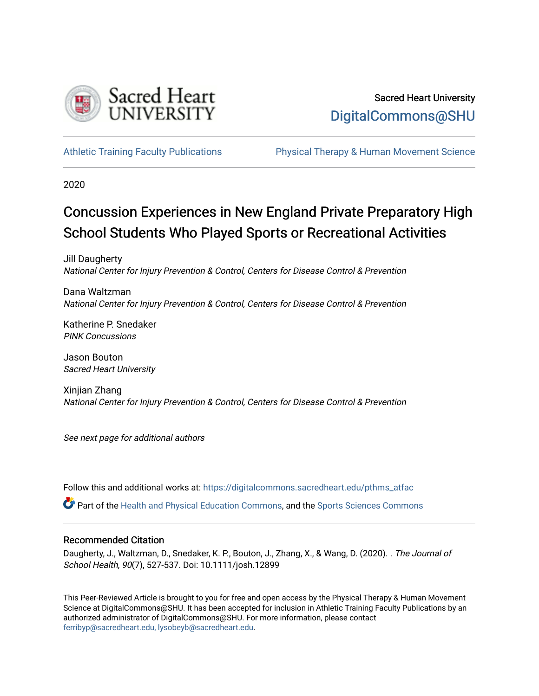

### Sacred Heart University [DigitalCommons@SHU](https://digitalcommons.sacredheart.edu/)

[Athletic Training Faculty Publications](https://digitalcommons.sacredheart.edu/pthms_atfac) [Physical Therapy & Human Movement Science](https://digitalcommons.sacredheart.edu/pthms) 

2020

## Concussion Experiences in New England Private Preparatory High School Students Who Played Sports or Recreational Activities

Jill Daugherty National Center for Injury Prevention & Control, Centers for Disease Control & Prevention

Dana Waltzman National Center for Injury Prevention & Control, Centers for Disease Control & Prevention

Katherine P. Snedaker PINK Concussions

Jason Bouton Sacred Heart University

Xinjian Zhang National Center for Injury Prevention & Control, Centers for Disease Control & Prevention

See next page for additional authors

Follow this and additional works at: [https://digitalcommons.sacredheart.edu/pthms\\_atfac](https://digitalcommons.sacredheart.edu/pthms_atfac?utm_source=digitalcommons.sacredheart.edu%2Fpthms_atfac%2F13&utm_medium=PDF&utm_campaign=PDFCoverPages) 

Part of the [Health and Physical Education Commons](http://network.bepress.com/hgg/discipline/1327?utm_source=digitalcommons.sacredheart.edu%2Fpthms_atfac%2F13&utm_medium=PDF&utm_campaign=PDFCoverPages), and the [Sports Sciences Commons](http://network.bepress.com/hgg/discipline/759?utm_source=digitalcommons.sacredheart.edu%2Fpthms_atfac%2F13&utm_medium=PDF&utm_campaign=PDFCoverPages) 

#### Recommended Citation

Daugherty, J., Waltzman, D., Snedaker, K. P., Bouton, J., Zhang, X., & Wang, D. (2020). . The Journal of School Health, 90(7), 527-537. Doi: 10.1111/josh.12899

This Peer-Reviewed Article is brought to you for free and open access by the Physical Therapy & Human Movement Science at DigitalCommons@SHU. It has been accepted for inclusion in Athletic Training Faculty Publications by an authorized administrator of DigitalCommons@SHU. For more information, please contact [ferribyp@sacredheart.edu, lysobeyb@sacredheart.edu.](mailto:ferribyp@sacredheart.edu,%20lysobeyb@sacredheart.edu)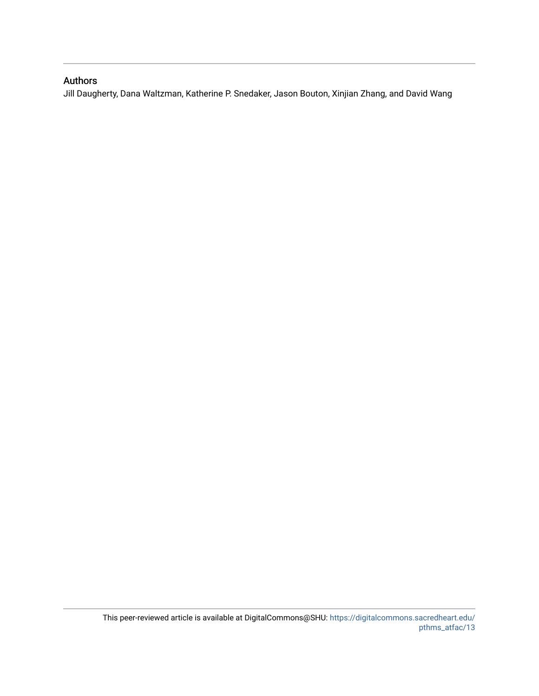### Authors

Jill Daugherty, Dana Waltzman, Katherine P. Snedaker, Jason Bouton, Xinjian Zhang, and David Wang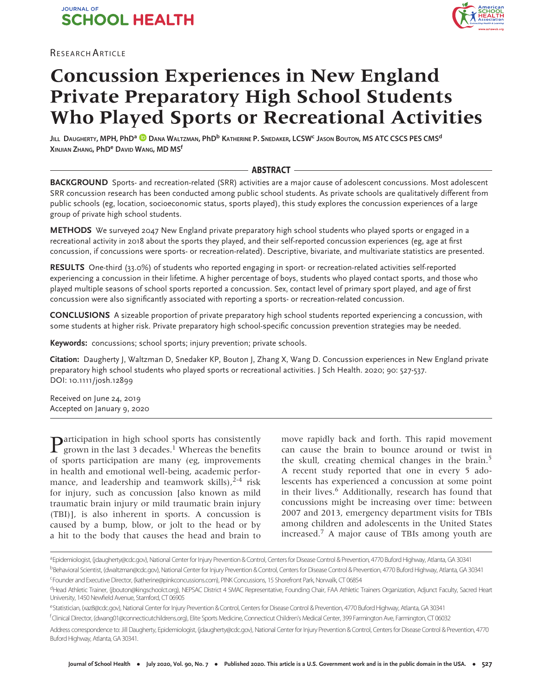

RESEARCH ARTICLE



# **Concussion Experiences in New England Private Preparatory High School Students Who Played Sports or Recreational Activities**

**JILL DAUGHERTY, MPH, PhDa DANA WALTZMAN, PhDb KATHERINE P. SNEDAKER, LCSW<sup>c</sup> JASON BOUTON, MS ATC CSCS PES CMSd XINJIAN ZHANG, PhDe DAVID WANG, MD MS<sup>f</sup>**

#### **ABSTRACT**

**BACKGROUND** Sports- and recreation-related (SRR) activities are a major cause of adolescent concussions. Most adolescent SRR concussion research has been conducted among public school students. As private schools are qualitatively different from public schools (eg, location, socioeconomic status, sports played), this study explores the concussion experiences of a large group of private high school students.

**METHODS** We surveyed 2047 New England private preparatory high school students who played sports or engaged in a recreational activity in 2018 about the sports they played, and their self-reported concussion experiences (eg, age at first concussion, if concussions were sports- or recreation-related). Descriptive, bivariate, and multivariate statistics are presented.

**RESULTS** One-third (33.0%) of students who reported engaging in sport- or recreation-related activities self-reported experiencing a concussion in their lifetime. A higher percentage of boys, students who played contact sports, and those who played multiple seasons of school sports reported a concussion. Sex, contact level of primary sport played, and age of first concussion were also significantly associated with reporting a sports- or recreation-related concussion.

**CONCLUSIONS** A sizeable proportion of private preparatory high school students reported experiencing a concussion, with some students at higher risk. Private preparatory high school-specific concussion prevention strategies may be needed.

**Keywords:** concussions; school sports; injury prevention; private schools.

**Citation:** Daugherty J, Waltzman D, Snedaker KP, Bouton J, Zhang X, Wang D. Concussion experiences in New England private preparatory high school students who played sports or recreational activities. J Sch Health. 2020; 90: 527-537. DOI: 10.1111/josh.12899

Received on June 24, 2019 Accepted on January 9, 2020

**P**articipation in high school sports has consistently grown in the last 3 decades.<sup>1</sup> Whereas the benefits of sports participation are many (eg, improvements in health and emotional well-being, academic performance, and leadership and teamwork skills), $2-4$  risk for injury, such as concussion [also known as mild traumatic brain injury or mild traumatic brain injury (TBI)], is also inherent in sports. A concussion is caused by a bump, blow, or jolt to the head or by a hit to the body that causes the head and brain to

move rapidly back and forth. This rapid movement can cause the brain to bounce around or twist in the skull, creating chemical changes in the brain.<sup>5</sup> A recent study reported that one in every 5 adolescents has experienced a concussion at some point in their lives.<sup>6</sup> Additionally, research has found that concussions might be increasing over time: between 2007 and 2013, emergency department visits for TBIs among children and adolescents in the United States increased.<sup>7</sup> A major cause of TBIs among youth are

a Epidemiologist, (jdaugherty@cdc.gov), National Center for Injury Prevention & Control, Centers for Disease Control & Prevention, 4770 Buford Highway, Atlanta, GA 30341 bBehavioral Scientist, (dwaltzman@cdc.gov), National Center for Injury Prevention & Control, Centers for Disease Control & Prevention, 4770 Buford Highway, Atlanta, GA 30341

c Founder and Executive Director, (katherine@pinkconcussions.com), PINK Concussions, 15 Shorefront Park, Norwalk, CT 06854

dHead Athletic Trainer, (jbouton@kingschoolct.org), NEPSAC District 4 SMAC Representative, Founding Chair, FAA Athletic Trainers Organization, Adjunct Faculty, Sacred Heart University, 1450 Newfield Avenue, Stamford, CT 06905

eStatistician, (xaz8@cdc.gov), National Center for Injury Prevention & Control, Centers for Disease Control & Prevention, 4770 Buford Highway, Atlanta, GA 30341

f Clinical Director, (dwang01@connecticutchildrens.org), Elite Sports Medicine, Connecticut Children's Medical Center, 399 Farmington Ave, Farmington, CT 06032

Address correspondence to: Jill Daugherty, Epidemiologist, (jdaugherty@cdc.gov), National Center for Injury Prevention & Control, Centers for Disease Control & Prevention, 4770 Buford Highway, Atlanta, GA 30341.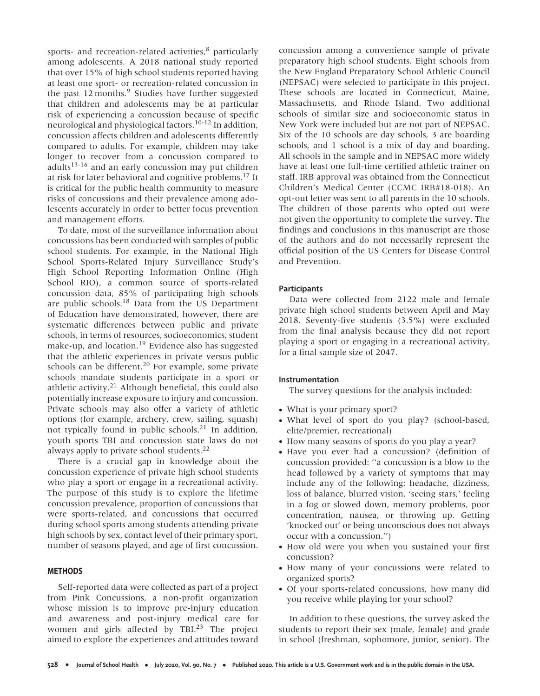sports- and recreation-related activities, $8$  particularly among adolescents. A 2018 national study reported that over 15% of high school students reported having at least one sport- or recreation-related concussion in the past 12 months.<sup>9</sup> Studies have further suggested that children and adolescents may be at particular risk of experiencing a concussion because of specific neurological and physiological factors.10-12 In addition, concussion affects children and adolescents differently compared to adults. For example, children may take longer to recover from a concussion compared to adults<sup>13-16</sup> and an early concussion may put children at risk for later behavioral and cognitive problems.17 It is critical for the public health community to measure risks of concussions and their prevalence among adolescents accurately in order to better focus prevention and management efforts.

To date, most of the surveillance information about concussions has been conducted with samples of public school students. For example, in the National High School Sports-Related Injury Surveillance Study's High School Reporting Information Online (High School RIO), a common source of sports-related concussion data, 85% of participating high schools are public schools.18 Data from the US Department of Education have demonstrated, however, there are systematic differences between public and private schools, in terms of resources, socioeconomics, student make-up, and location.<sup>19</sup> Evidence also has suggested that the athletic experiences in private versus public schools can be different. $20$  For example, some private schools mandate students participate in a sport or athletic activity.21 Although beneficial, this could also potentially increase exposure to injury and concussion. Private schools may also offer a variety of athletic options (for example, archery, crew, sailing, squash) not typically found in public schools.21 In addition, youth sports TBI and concussion state laws do not always apply to private school students.<sup>22</sup>

There is a crucial gap in knowledge about the concussion experience of private high school students who play a sport or engage in a recreational activity. The purpose of this study is to explore the lifetime concussion prevalence, proportion of concussions that were sports-related, and concussions that occurred during school sports among students attending private high schools by sex, contact level of their primary sport, number of seasons played, and age of first concussion.

#### **METHODS**

Self-reported data were collected as part of a project from Pink Concussions, a non-profit organization whose mission is to improve pre-injury education and awareness and post-injury medical care for women and girls affected by TBI.23 The project aimed to explore the experiences and attitudes toward concussion among a convenience sample of private preparatory high school students. Eight schools from the New England Preparatory School Athletic Council (NEPSAC) were selected to participate in this project. These schools are located in Connecticut, Maine, Massachusetts, and Rhode Island. Two additional schools of similar size and socioeconomic status in New York were included but are not part of NEPSAC. Six of the 10 schools are day schools, 3 are boarding schools, and 1 school is a mix of day and boarding. All schools in the sample and in NEPSAC more widely have at least one full-time certified athletic trainer on staff. IRB approval was obtained from the Connecticut Children's Medical Center (CCMC IRB#18-018). An opt-out letter was sent to all parents in the 10 schools. The children of those parents who opted out were not given the opportunity to complete the survey. The findings and conclusions in this manuscript are those of the authors and do not necessarily represent the official position of the US Centers for Disease Control and Prevention.

#### **Participants**

Data were collected from 2122 male and female private high school students between April and May 2018. Seventy-five students (3.5%) were excluded from the final analysis because they did not report playing a sport or engaging in a recreational activity, for a final sample size of 2047.

#### **Instrumentation**

The survey questions for the analysis included:

- What is your primary sport?
- What level of sport do you play? (school-based, elite/premier, recreational)
- How many seasons of sports do you play a year?
- Have you ever had a concussion? (definition of concussion provided: ''a concussion is a blow to the head followed by a variety of symptoms that may include any of the following: headache, dizziness, loss of balance, blurred vision, 'seeing stars,' feeling in a fog or slowed down, memory problems, poor concentration, nausea, or throwing up. Getting 'knocked out' or being unconscious does not always occur with a concussion.'')
- How old were you when you sustained your first concussion?
- How many of your concussions were related to organized sports?
- Of your sports-related concussions, how many did you receive while playing for your school?

In addition to these questions, the survey asked the students to report their sex (male, female) and grade in school (freshman, sophomore, junior, senior). The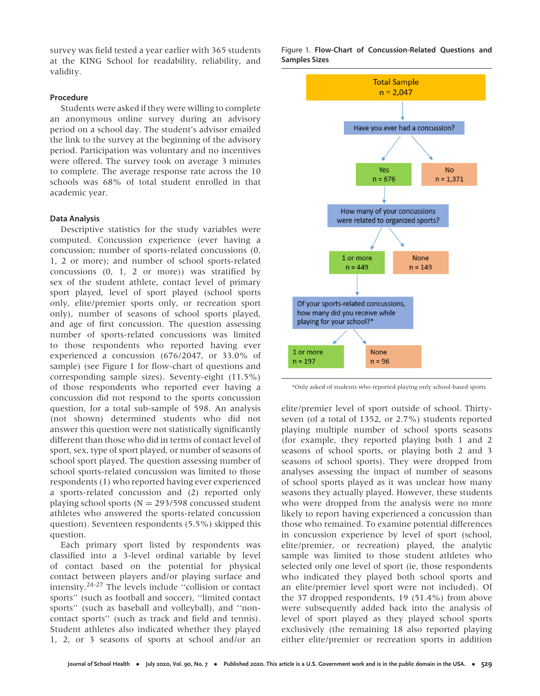survey was field tested a year earlier with 365 students at the KING School for readability, reliability, and validity.

#### **Procedure**

Students were asked if they were willing to complete an anonymous online survey during an advisory period on a school day. The student's advisor emailed the link to the survey at the beginning of the advisory period. Participation was voluntary and no incentives were offered. The survey took on average 3 minutes to complete. The average response rate across the 10 schools was 68% of total student enrolled in that academic year.

#### **Data Analysis**

Descriptive statistics for the study variables were computed. Concussion experience (ever having a concussion; number of sports-related concussions (0, 1, 2 or more); and number of school sports-related concussions (0, 1, 2 or more)) was stratified by sex of the student athlete, contact level of primary sport played, level of sport played (school sports only, elite/premier sports only, or recreation sport only), number of seasons of school sports played, and age of first concussion. The question assessing number of sports-related concussions was limited to those respondents who reported having ever experienced a concussion (676/2047, or 33.0% of sample) (see Figure 1 for flow-chart of questions and corresponding sample sizes). Seventy-eight (11.5%) of those respondents who reported ever having a concussion did not respond to the sports concussion question, for a total sub-sample of 598. An analysis (not shown) determined students who did not answer this question were not statistically significantly different than those who did in terms of contact level of sport, sex, type of sport played, or number of seasons of school sport played. The question assessing number of school sports-related concussion was limited to those respondents (1) who reported having ever experienced a sports-related concussion and (2) reported only playing school sports ( $N = 293/598$  concussed student athletes who answered the sports-related concussion question). Seventeen respondents (5.5%) skipped this question.

Each primary sport listed by respondents was classified into a 3-level ordinal variable by level of contact based on the potential for physical contact between players and/or playing surface and intensity.24-27 The levels include ''collision or contact sports'' (such as football and soccer), ''limited contact sports'' (such as baseball and volleyball), and ''noncontact sports'' (such as track and field and tennis). Student athletes also indicated whether they played 1, 2, or 3 seasons of sports at school and/or an Figure 1. **Flow-Chart of Concussion-Related Questions and Samples Sizes**



\*Only asked of students who reported playing only school-based sports

elite/premier level of sport outside of school. Thirtyseven (of a total of 1352, or 2.7%) students reported playing multiple number of school sports seasons (for example, they reported playing both 1 and 2 seasons of school sports, or playing both 2 and 3 seasons of school sports). They were dropped from analyses assessing the impact of number of seasons of school sports played as it was unclear how many seasons they actually played. However, these students who were dropped from the analysis were no more likely to report having experienced a concussion than those who remained. To examine potential differences in concussion experience by level of sport (school, elite/premier, or recreation) played, the analytic sample was limited to those student athletes who selected only one level of sport (ie, those respondents who indicated they played both school sports and an elite/premier level sport were not included). Of the 37 dropped respondents, 19 (51.4%) from above were subsequently added back into the analysis of level of sport played as they played school sports exclusively (the remaining 18 also reported playing either elite/premier or recreation sports in addition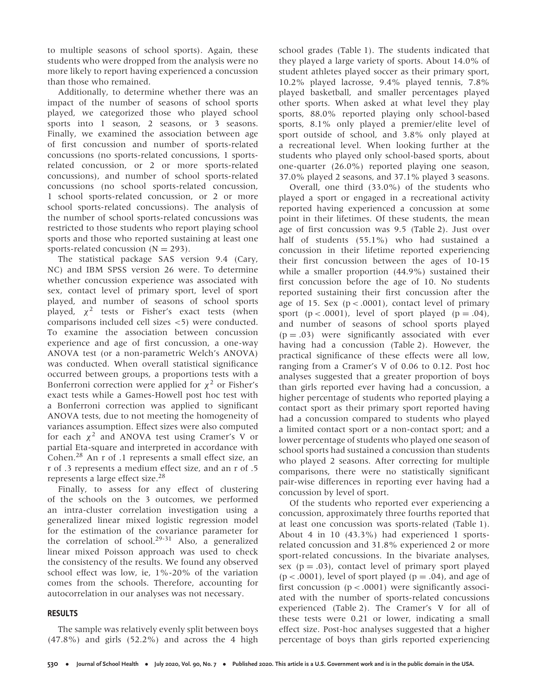to multiple seasons of school sports). Again, these students who were dropped from the analysis were no more likely to report having experienced a concussion than those who remained.

Additionally, to determine whether there was an impact of the number of seasons of school sports played, we categorized those who played school sports into 1 season, 2 seasons, or 3 seasons. Finally, we examined the association between age of first concussion and number of sports-related concussions (no sports-related concussions, 1 sportsrelated concussion, or 2 or more sports-related concussions), and number of school sports-related concussions (no school sports-related concussion, 1 school sports-related concussion, or 2 or more school sports-related concussions). The analysis of the number of school sports-related concussions was restricted to those students who report playing school sports and those who reported sustaining at least one sports-related concussion  $(N = 293)$ .

The statistical package SAS version 9.4 (Cary, NC) and IBM SPSS version 26 were. To determine whether concussion experience was associated with sex, contact level of primary sport, level of sport played, and number of seasons of school sports played, *χ*<sup>2</sup> tests or Fisher's exact tests (when comparisons included cell sizes *<*5) were conducted. To examine the association between concussion experience and age of first concussion, a one-way ANOVA test (or a non-parametric Welch's ANOVA) was conducted. When overall statistical significance occurred between groups, a proportions tests with a Bonferroni correction were applied for  $\chi^2$  or Fisher's exact tests while a Games-Howell post hoc test with a Bonferroni correction was applied to significant ANOVA tests, due to not meeting the homogeneity of variances assumption. Effect sizes were also computed for each  $\chi^2$  and ANOVA test using Cramer's V or partial Eta-square and interpreted in accordance with Cohen.28 An r of .1 represents a small effect size, an r of .3 represents a medium effect size, and an r of .5 represents a large effect size.<sup>28</sup>

Finally, to assess for any effect of clustering of the schools on the 3 outcomes, we performed an intra-cluster correlation investigation using a generalized linear mixed logistic regression model for the estimation of the covariance parameter for the correlation of school.<sup>29-31</sup> Also, a generalized linear mixed Poisson approach was used to check the consistency of the results. We found any observed school effect was low, ie, 1%-20% of the variation comes from the schools. Therefore, accounting for autocorrelation in our analyses was not necessary.

#### **RESULTS**

The sample was relatively evenly split between boys  $(47.8\%)$  and girls  $(52.2\%)$  and across the 4 high school grades (Table 1). The students indicated that they played a large variety of sports. About 14.0% of student athletes played soccer as their primary sport, 10.2% played lacrosse, 9.4% played tennis, 7.8% played basketball, and smaller percentages played other sports. When asked at what level they play sports, 88.0% reported playing only school-based sports, 8.1% only played a premier/elite level of sport outside of school, and 3.8% only played at a recreational level. When looking further at the students who played only school-based sports, about one-quarter (26.0%) reported playing one season, 37.0% played 2 seasons, and 37.1% played 3 seasons.

Overall, one third (33.0%) of the students who played a sport or engaged in a recreational activity reported having experienced a concussion at some point in their lifetimes. Of these students, the mean age of first concussion was 9.5 (Table 2). Just over half of students (55.1%) who had sustained a concussion in their lifetime reported experiencing their first concussion between the ages of 10-15 while a smaller proportion (44.9%) sustained their first concussion before the age of 10. No students reported sustaining their first concussion after the age of 15. Sex (p *<* .0001), contact level of primary sport  $(p < .0001)$ , level of sport played  $(p = .04)$ , and number of seasons of school sports played  $(p = .03)$  were significantly associated with ever having had a concussion (Table 2). However, the practical significance of these effects were all low, ranging from a Cramer's V of 0.06 to 0.12. Post hoc analyses suggested that a greater proportion of boys than girls reported ever having had a concussion, a higher percentage of students who reported playing a contact sport as their primary sport reported having had a concussion compared to students who played a limited contact sport or a non-contact sport; and a lower percentage of students who played one season of school sports had sustained a concussion than students who played 2 seasons. After correcting for multiple comparisons, there were no statistically significant pair-wise differences in reporting ever having had a concussion by level of sport.

Of the students who reported ever experiencing a concussion, approximately three fourths reported that at least one concussion was sports-related (Table 1). About 4 in 10 (43.3%) had experienced 1 sportsrelated concussion and 31.8% experienced 2 or more sport-related concussions. In the bivariate analyses, sex  $(p = .03)$ , contact level of primary sport played  $(p < .0001)$ , level of sport played  $(p = .04)$ , and age of first concussion (p *<* .0001) were significantly associated with the number of sports-related concussions experienced (Table 2). The Cramer's V for all of these tests were 0.21 or lower, indicating a small effect size. Post-hoc analyses suggested that a higher percentage of boys than girls reported experiencing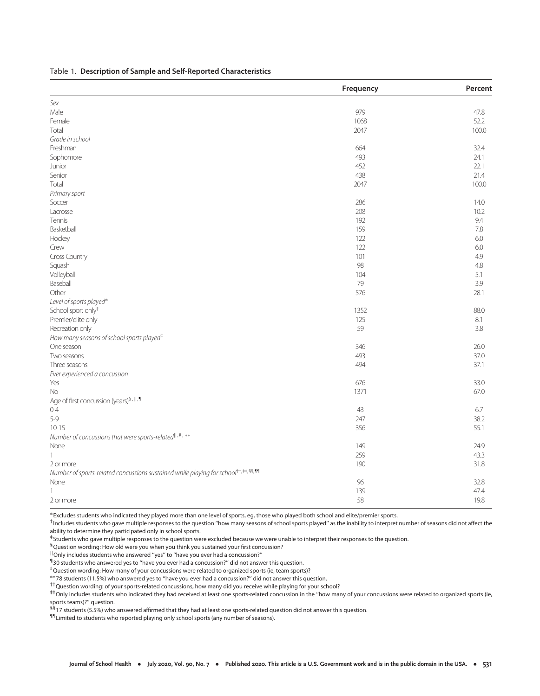Table 1. **Description of Sample and Self-Reported Characteristics**

|                                                                                                | Frequency | Percent |
|------------------------------------------------------------------------------------------------|-----------|---------|
| Sex                                                                                            |           |         |
| Male                                                                                           | 979       | 47.8    |
| Female                                                                                         | 1068      | 52.2    |
| Total                                                                                          | 2047      | 100.0   |
| Grade in school                                                                                |           |         |
| Freshman                                                                                       | 664       | 32.4    |
| Sophomore                                                                                      | 493       | 24.1    |
| Junior                                                                                         | 452       | 22.1    |
| Senior                                                                                         | 438       | 21.4    |
| Total                                                                                          | 2047      | 100.0   |
| Primary sport                                                                                  |           |         |
| Soccer                                                                                         | 286       | 14.0    |
| Lacrosse                                                                                       | 208       | 10.2    |
| Tennis                                                                                         | 192       | 9.4     |
| Basketball                                                                                     | 159       |         |
|                                                                                                | 122       | 7.8     |
| Hockey                                                                                         |           | 6.0     |
| Crew                                                                                           | 122       | 6.0     |
| <b>Cross Country</b>                                                                           | 101       | 4.9     |
| Squash                                                                                         | 98        | 4.8     |
| Volleyball                                                                                     | 104       | 5.1     |
| Baseball                                                                                       | 79        | 3.9     |
| Other                                                                                          | 576       | 28.1    |
| Level of sports played*                                                                        |           |         |
| School sport only <sup>t</sup>                                                                 | 1352      | 88.0    |
| Premier/elite only                                                                             | 125       | 8.1     |
| Recreation only                                                                                | 59        | 3.8     |
| How many seasons of school sports played <sup>#</sup>                                          |           |         |
| One season                                                                                     | 346       | 26.0    |
| Two seasons                                                                                    | 493       | 37.0    |
| Three seasons                                                                                  | 494       | 37.1    |
| Ever experienced a concussion                                                                  |           |         |
| Yes                                                                                            | 676       | 33.0    |
| No                                                                                             | 1371      | 67.0    |
| Age of first concussion (years) <sup>§,  ,¶</sup>                                              |           |         |
| $0 - 4$                                                                                        | 43        | 6.7     |
| $5 - 9$                                                                                        | 247       | 38.2    |
| $10 - 15$                                                                                      | 356       | 55.1    |
| Number of concussions that were sports-related    , #, **                                      |           |         |
| None                                                                                           | 149       | 24.9    |
| $\mathbf{1}$                                                                                   | 259       | 43.3    |
| 2 or more                                                                                      | 190       | 31.8    |
| Number of sports-related concussions sustained while playing for school <sup>tt,#4,55,11</sup> |           |         |
|                                                                                                |           |         |
| None                                                                                           | 96        | 32.8    |
| $\mathbf{1}$                                                                                   | 139       | 47.4    |
| 2 or more                                                                                      | 58        | 19.8    |

∗Excludes students who indicated they played more than one level of sports, eg, those who played both school and elite/premier sports.

†Includes students who gave multiple responses to the question ''how many seasons of school sports played'' as the inability to interpret number of seasons did not affect the ability to determine they participated only in school sports.

‡Students who gave multiple responses to the question were excluded because we were unable to interpret their responses to the question.

§Question wording: How old were you when you think you sustained your first concussion?

||Only includes students who answered ''yes'' to ''have you ever had a concussion?''

¶30 students who answered yes to ''have you ever had a concussion?'' did not answer this question.

#Question wording: How many of your concussions were related to organized sports (ie, team sports)?

∗∗78 students (11.5%) who answered yes to ''have you ever had a concussion?'' did not answer this question.

††Question wording: of your sports-related concussions, how many did you receive while playing for your school?

‡‡Only includes students who indicated they had received at least one sports-related concussion in the ''how many of your concussions were related to organized sports (ie, sports teams)?'' question.

§§17 students (5.5%) who answered affirmed that they had at least one sports-related question did not answer this question.

¶¶Limited to students who reported playing only school sports (any number of seasons).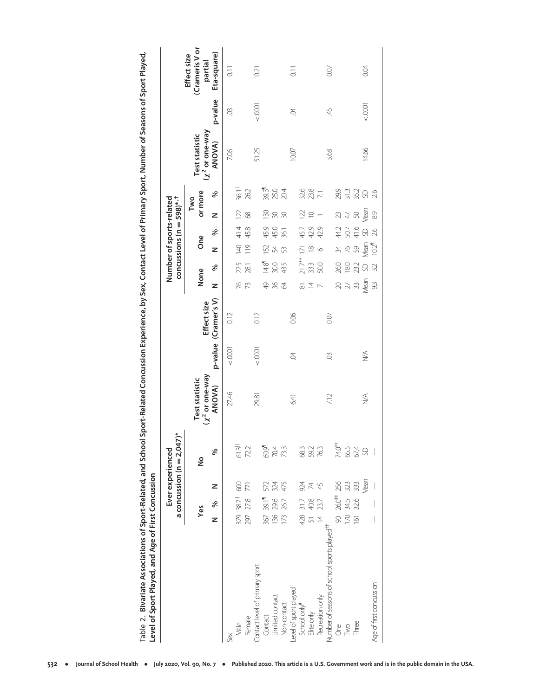| evel of Sport Played, and Age of First Concussion.      |                          |                          |                                                   |                                               |            |                      |                          |                        |                               |                    |                                                                            |                                        |         |                                          |  |
|---------------------------------------------------------|--------------------------|--------------------------|---------------------------------------------------|-----------------------------------------------|------------|----------------------|--------------------------|------------------------|-------------------------------|--------------------|----------------------------------------------------------------------------|----------------------------------------|---------|------------------------------------------|--|
|                                                         |                          |                          | a concussion ( $n = 2,047$ )*<br>Ever experienced |                                               |            |                      |                          |                        |                               |                    | concussions (n = $598$ )* $\cdot$ <sup>†</sup><br>Number of sports-related |                                        |         |                                          |  |
|                                                         | Yes                      |                          | å                                                 | $(\chi^2$ or one-way<br><b>Test statistic</b> |            | Effect size          | None                     |                        | One                           |                    | or more<br>Two                                                             | $(\chi^2$ or one-way<br>Test statistic |         | (Crameris V or<br>Effect size<br>partial |  |
|                                                         | ℅<br>z                   | z                        | ್ಗೆ                                               | ANOVA)                                        |            | p-value (Cramer's V) | z                        | ৡ                      | z                             | ℅                  | z                                                                          | <b>ANOVA)</b><br>ৡ                     | p-value | Eta-square)                              |  |
| Š                                                       |                          |                          |                                                   | 27.46                                         | <.0001     | 0.12                 |                          |                        |                               |                    |                                                                            | 7.06                                   | S       | $\overline{0.11}$                        |  |
| Male                                                    | 379 38.7                 | 600                      | 61.3                                              |                                               |            |                      | 76                       | 22.5                   | $\sqrt{40}$                   |                    | 122                                                                        | 36.1                                   |         |                                          |  |
| Female                                                  | 27.8<br>797              | 771                      | 72.2                                              |                                               |            |                      | 73                       | 28.1                   | 119                           | 41.4<br>45.8       | 68                                                                         | 26.2                                   |         |                                          |  |
| Contact level of primary sport                          |                          |                          |                                                   | 29.81                                         | < .0001    | 0.12                 |                          |                        |                               |                    |                                                                            | 51.25                                  | 0001    | 0.21                                     |  |
| Contact                                                 | 367 39.1                 | 572                      | 60.9                                              |                                               |            |                      | 49                       | 14.8                   |                               | 45.9               | 130                                                                        |                                        |         |                                          |  |
| Limited contact                                         | 136 29.6                 | 324                      | $70.4\,$                                          |                                               |            |                      | 36                       | 30.0                   | 52 53                         |                    | $\infty$                                                                   | 39.3°<br>25.0<br>20.4                  |         |                                          |  |
| Non-contact                                             | 26.7<br>173              | 475                      | 73.3                                              |                                               |            |                      | $\mathcal{R}$            |                        |                               | 45.0<br>36.1       | $\infty$                                                                   |                                        |         |                                          |  |
| evel of sport played                                    |                          |                          |                                                   | 641                                           | Ř          | 80.0                 |                          |                        |                               |                    |                                                                            | 10.07                                  | Ř       | 0.11                                     |  |
| School only#                                            | 428 31.7                 | 924                      | 68.3                                              |                                               |            |                      | $\overline{\infty}$      |                        | 171                           |                    | 122                                                                        |                                        |         |                                          |  |
| Elite only                                              | 40.8<br>51               | $\overline{\mathcal{A}}$ | 59.2                                              |                                               |            |                      | $\overline{4}$           | 21.7**<br>33.3<br>50.0 | $\overset{\infty}{=}$ $\circ$ | 45.7<br>429<br>429 | $\subseteq$                                                                | 32.6<br>23.8<br>7.1                    |         |                                          |  |
| Recreation only                                         | 23.7<br>$\overline{4}$   | 45                       | 76.3                                              |                                               |            |                      | $\overline{\phantom{0}}$ |                        |                               |                    |                                                                            |                                        |         |                                          |  |
| Number of seasons of school sports played <sup>11</sup> |                          |                          |                                                   | 7.12                                          | S          | 0.07                 |                          |                        |                               |                    |                                                                            | 3.68                                   | 45      | 0.07                                     |  |
| de<br>G                                                 | $90\ 26.0^{+1}$ 256      |                          | 74.0#                                             |                                               |            |                      |                          | 26.0                   |                               |                    |                                                                            |                                        |         |                                          |  |
| Two                                                     | 34.5<br>$\overline{170}$ | 323                      | 65.5                                              |                                               |            |                      | $\frac{20}{27}$          | 18.0                   | $\frac{1}{2}$                 | $484$<br>$254$     | 23                                                                         | 29.3<br>25.2<br>25.2                   |         |                                          |  |
| Three                                                   | 32.6<br>$\overline{6}$   | 333                      | $67.4$                                            |                                               |            |                      | $33$                     | 23.2                   | 59                            |                    | $50\,$                                                                     |                                        |         |                                          |  |
|                                                         |                          | Mean                     | $\mathcal{S}$                                     | $\lessgtr$                                    | $\lessgtr$ |                      | Mean                     | $\mathbb{S}$           | Mean                          | $\overline{S}$     | Mean                                                                       | 14.66<br>$\Im$                         | 0001    | 0.04                                     |  |
| Age of first concussion                                 |                          |                          |                                                   |                                               |            |                      | 93                       | 32                     | 10.2                          | 26                 | 89                                                                         | 2.6                                    |         |                                          |  |

Age of first concussion

Table 2. Bivariate Associations of Sport-Related, and School Sport-Related Concussion Experience, by Sex, Contact Level of Primary Sport, Number of Seasons of Sport Played, Table 2. Bivariate Associations of Sport-Related, and School Sport-Related Concussion Experience, by Sex, Contact Level of Primary Sport, Number of Seasons of Sport Played,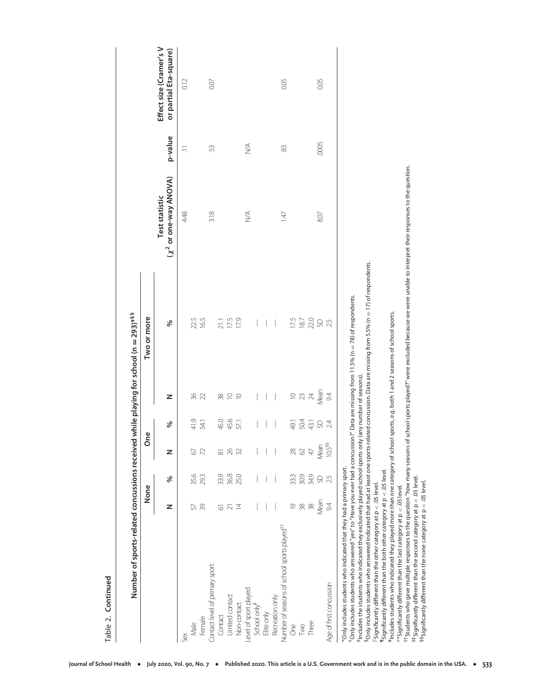|                                                         | None           |              | One                 |       |                                                                                    | Two or more              |                                                      |            |                                                   |
|---------------------------------------------------------|----------------|--------------|---------------------|-------|------------------------------------------------------------------------------------|--------------------------|------------------------------------------------------|------------|---------------------------------------------------|
|                                                         | z              | ಸಿ           | z                   | శ     | z                                                                                  | ್ಗೆ                      | $(\chi^2$ or one-way ANOVA)<br><b>Test statistic</b> | p-value    | Effect size (Cramer's V<br>or partial Eta-square) |
| Š                                                       |                |              |                     |       |                                                                                    |                          | 4.48                                                 | $\equiv$   | 0.12                                              |
| Male                                                    | 57             | 35.6         | 2                   | 41.9  |                                                                                    | 225                      |                                                      |            |                                                   |
| Female                                                  | 39             | 29.3         |                     | 54.1  | 86                                                                                 | 16.5                     |                                                      |            |                                                   |
| Contact level of primary sport                          |                |              |                     |       |                                                                                    |                          | 3.18                                                 | 53         | 0.07                                              |
| Contact                                                 | 6              | 33.9         | $\overline{\infty}$ | 45.0  |                                                                                    |                          |                                                      |            |                                                   |
| Limited contact                                         | $\overline{2}$ |              | $\approx$           | 45.6  | $\frac{8}{2}$                                                                      | 21.1                     |                                                      |            |                                                   |
| Non-contact                                             | $\overline{4}$ | 36.8<br>25.0 | $\approx$           | 57.1  | $\subseteq$                                                                        | 17.9                     |                                                      |            |                                                   |
| Level of sport played<br>School only#                   |                |              |                     |       |                                                                                    |                          | $\lessgtr$                                           | $\lessgtr$ |                                                   |
|                                                         |                |              |                     |       | I                                                                                  |                          |                                                      |            |                                                   |
| Elite only                                              |                |              |                     |       | I                                                                                  |                          |                                                      |            |                                                   |
| Recreation only                                         |                |              |                     |       | $\overline{\phantom{a}}$                                                           | $\overline{\phantom{a}}$ |                                                      |            |                                                   |
| Number of seasons of school sports played <sup>11</sup> |                |              |                     |       |                                                                                    |                          | 147                                                  | 83         | 0.05                                              |
| One                                                     | $\overline{0}$ | 33.3         | 28                  | 49.1  |                                                                                    | 17.5                     |                                                      |            |                                                   |
| $\overline{\mathbb{I}}\mathsf{wo}$                      | $38$           | 30.9         | 8                   | 50.4  |                                                                                    | 187                      |                                                      |            |                                                   |
| Three                                                   | $\frac{8}{2}$  | 34.9         | 47                  | 43.1  | $\begin{array}{c} \square \; \square \\ \square \; \square \; \square \end{array}$ | 22.0                     |                                                      |            |                                                   |
|                                                         | Mean           | S            | Mean                | $G_4$ | Mean                                                                               | SD 35                    | 8.07                                                 | .0005      | 0.05                                              |
| Age of first concussion                                 | 94             | 25           | 10.5 <sup>§§</sup>  |       | 94                                                                                 |                          |                                                      |            |                                                   |

§Only includes students who answered indicated that had at least one sports-related concussion. Data are missing from 5.5% (n 17) of respondents.

 $\mathsf{I}$ Significantly different than the other category at  $p < .05$  level.

¶significantly different than the both other category at p < .05 level.<br>#Includes students who indicated they played more than one category of school sports, e.g. both 1 and 2 seasons of school sports.<br>#Mcludes students w ll Significantly different than the other category at p < .05 level.<br>¶Significantly different than the both other category at p < .05 level.<br>"Includes students who indicated they played more than one category of school s

∗∗Significantly different than the last category at p *<* .05 level.

††Students who gave multiple responses to the question "how many seasons of school sports played?" were excluded because we were unable to interpret their responses to the question.

‡‡Significantly different than the second category at p *<* .05 level. §§Significantly different than the none category at p *<* .05 level.

Table 2. **Continued**

Table 2. Continued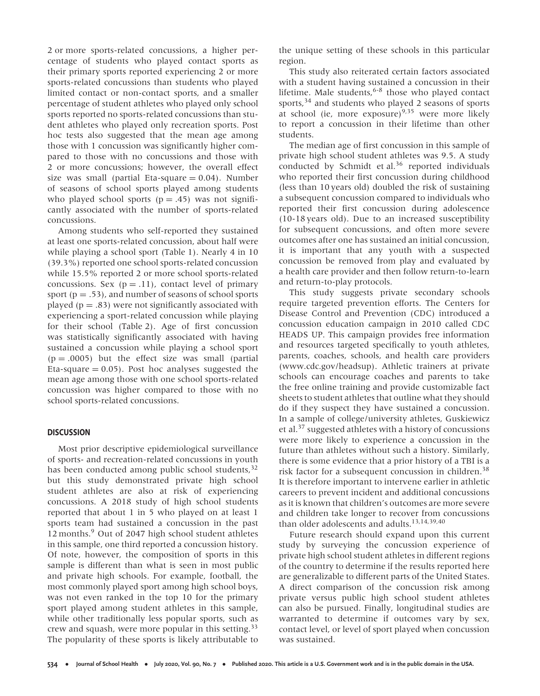2 or more sports-related concussions, a higher percentage of students who played contact sports as their primary sports reported experiencing 2 or more sports-related concussions than students who played limited contact or non-contact sports, and a smaller percentage of student athletes who played only school sports reported no sports-related concussions than student athletes who played only recreation sports. Post hoc tests also suggested that the mean age among those with 1 concussion was significantly higher compared to those with no concussions and those with 2 or more concussions; however, the overall effect size was small (partial Eta-square  $= 0.04$ ). Number of seasons of school sports played among students who played school sports  $(p = .45)$  was not significantly associated with the number of sports-related concussions.

Among students who self-reported they sustained at least one sports-related concussion, about half were while playing a school sport (Table 1). Nearly 4 in 10 (39.3%) reported one school sports-related concussion while 15.5% reported 2 or more school sports-related concussions. Sex  $(p = .11)$ , contact level of primary sport ( $p = .53$ ), and number of seasons of school sports played ( $p = .83$ ) were not significantly associated with experiencing a sport-related concussion while playing for their school (Table 2). Age of first concussion was statistically significantly associated with having sustained a concussion while playing a school sport  $(p = .0005)$  but the effect size was small (partial Eta-square  $= 0.05$ ). Post hoc analyses suggested the mean age among those with one school sports-related concussion was higher compared to those with no school sports-related concussions.

#### **DISCUSSION**

Most prior descriptive epidemiological surveillance of sports- and recreation-related concussions in youth has been conducted among public school students,<sup>32</sup> but this study demonstrated private high school student athletes are also at risk of experiencing concussions. A 2018 study of high school students reported that about 1 in 5 who played on at least 1 sports team had sustained a concussion in the past 12 months.<sup>9</sup> Out of 2047 high school student athletes in this sample, one third reported a concussion history. Of note, however, the composition of sports in this sample is different than what is seen in most public and private high schools. For example, football, the most commonly played sport among high school boys, was not even ranked in the top 10 for the primary sport played among student athletes in this sample, while other traditionally less popular sports, such as crew and squash, were more popular in this setting.33 The popularity of these sports is likely attributable to the unique setting of these schools in this particular region.

This study also reiterated certain factors associated with a student having sustained a concussion in their lifetime. Male students,  $6-8$  those who played contact sports,<sup>34</sup> and students who played 2 seasons of sports at school (ie, more exposure) $9.35$  were more likely to report a concussion in their lifetime than other students.

The median age of first concussion in this sample of private high school student athletes was 9.5. A study conducted by Schmidt et al.<sup>36</sup> reported individuals who reported their first concussion during childhood (less than 10 years old) doubled the risk of sustaining a subsequent concussion compared to individuals who reported their first concussion during adolescence (10-18 years old). Due to an increased susceptibility for subsequent concussions, and often more severe outcomes after one has sustained an initial concussion, it is important that any youth with a suspected concussion be removed from play and evaluated by a health care provider and then follow return-to-learn and return-to-play protocols.

This study suggests private secondary schools require targeted prevention efforts. The Centers for Disease Control and Prevention (CDC) introduced a concussion education campaign in 2010 called CDC HEADS UP. This campaign provides free information and resources targeted specifically to youth athletes, parents, coaches, schools, and health care providers [\(www.cdc.gov/headsup\)](http://www.cdc.gov/headsup). Athletic trainers at private schools can encourage coaches and parents to take the free online training and provide customizable fact sheets to student athletes that outline what they should do if they suspect they have sustained a concussion. In a sample of college/university athletes, Guskiewicz et al.<sup>37</sup> suggested athletes with a history of concussions were more likely to experience a concussion in the future than athletes without such a history. Similarly, there is some evidence that a prior history of a TBI is a risk factor for a subsequent concussion in children.<sup>38</sup> It is therefore important to intervene earlier in athletic careers to prevent incident and additional concussions as it is known that children's outcomes are more severe and children take longer to recover from concussions than older adolescents and adults.<sup>13,14,39,40</sup>

Future research should expand upon this current study by surveying the concussion experience of private high school student athletes in different regions of the country to determine if the results reported here are generalizable to different parts of the United States. A direct comparison of the concussion risk among private versus public high school student athletes can also be pursued. Finally, longitudinal studies are warranted to determine if outcomes vary by sex, contact level, or level of sport played when concussion was sustained.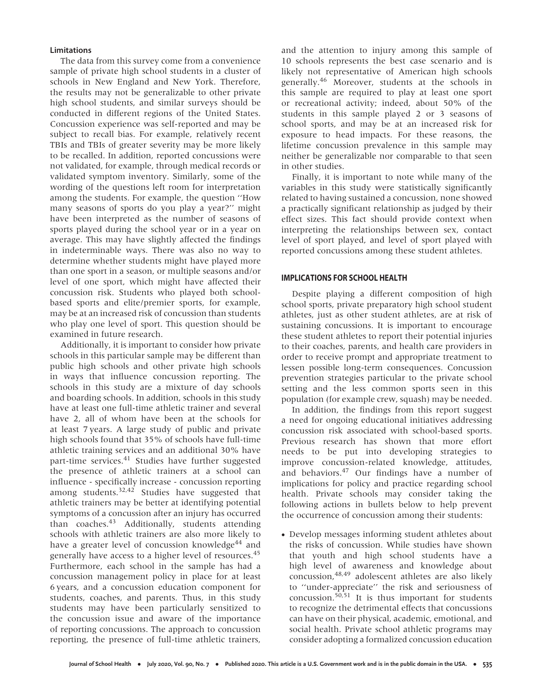#### **Limitations**

The data from this survey come from a convenience sample of private high school students in a cluster of schools in New England and New York. Therefore, the results may not be generalizable to other private high school students, and similar surveys should be conducted in different regions of the United States. Concussion experience was self-reported and may be subject to recall bias. For example, relatively recent TBIs and TBIs of greater severity may be more likely to be recalled. In addition, reported concussions were not validated, for example, through medical records or validated symptom inventory. Similarly, some of the wording of the questions left room for interpretation among the students. For example, the question ''How many seasons of sports do you play a year?'' might have been interpreted as the number of seasons of sports played during the school year or in a year on average. This may have slightly affected the findings in indeterminable ways. There was also no way to determine whether students might have played more than one sport in a season, or multiple seasons and/or level of one sport, which might have affected their concussion risk. Students who played both schoolbased sports and elite/premier sports, for example, may be at an increased risk of concussion than students who play one level of sport. This question should be examined in future research.

Additionally, it is important to consider how private schools in this particular sample may be different than public high schools and other private high schools in ways that influence concussion reporting. The schools in this study are a mixture of day schools and boarding schools. In addition, schools in this study have at least one full-time athletic trainer and several have 2, all of whom have been at the schools for at least 7 years. A large study of public and private high schools found that 35% of schools have full-time athletic training services and an additional 30% have part-time services.<sup>41</sup> Studies have further suggested the presence of athletic trainers at a school can influence - specifically increase - concussion reporting among students.<sup>32,42</sup> Studies have suggested that athletic trainers may be better at identifying potential symptoms of a concussion after an injury has occurred than coaches.43 Additionally, students attending schools with athletic trainers are also more likely to have a greater level of concussion knowledge<sup>44</sup> and generally have access to a higher level of resources.<sup>45</sup> Furthermore, each school in the sample has had a concussion management policy in place for at least 6 years, and a concussion education component for students, coaches, and parents. Thus, in this study students may have been particularly sensitized to the concussion issue and aware of the importance of reporting concussions. The approach to concussion reporting, the presence of full-time athletic trainers,

and the attention to injury among this sample of 10 schools represents the best case scenario and is likely not representative of American high schools generally.<sup>46</sup> Moreover, students at the schools in this sample are required to play at least one sport or recreational activity; indeed, about 50% of the students in this sample played 2 or 3 seasons of school sports, and may be at an increased risk for exposure to head impacts. For these reasons, the lifetime concussion prevalence in this sample may neither be generalizable nor comparable to that seen in other studies.

Finally, it is important to note while many of the variables in this study were statistically significantly related to having sustained a concussion, none showed a practically significant relationship as judged by their effect sizes. This fact should provide context when interpreting the relationships between sex, contact level of sport played, and level of sport played with reported concussions among these student athletes.

#### **IMPLICATIONS FOR SCHOOL HEALTH**

Despite playing a different composition of high school sports, private preparatory high school student athletes, just as other student athletes, are at risk of sustaining concussions. It is important to encourage these student athletes to report their potential injuries to their coaches, parents, and health care providers in order to receive prompt and appropriate treatment to lessen possible long-term consequences. Concussion prevention strategies particular to the private school setting and the less common sports seen in this population (for example crew, squash) may be needed.

In addition, the findings from this report suggest a need for ongoing educational initiatives addressing concussion risk associated with school-based sports. Previous research has shown that more effort needs to be put into developing strategies to improve concussion-related knowledge, attitudes, and behaviors.47 Our findings have a number of implications for policy and practice regarding school health. Private schools may consider taking the following actions in bullets below to help prevent the occurrence of concussion among their students:

• Develop messages informing student athletes about the risks of concussion. While studies have shown that youth and high school students have a high level of awareness and knowledge about concussion,48,49 adolescent athletes are also likely to ''under-appreciate'' the risk and seriousness of concussion.50,51 It is thus important for students to recognize the detrimental effects that concussions can have on their physical, academic, emotional, and social health. Private school athletic programs may consider adopting a formalized concussion education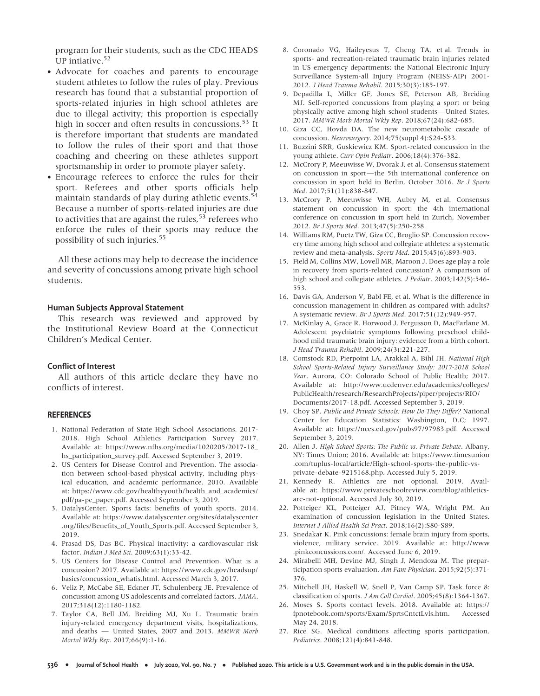program for their students, such as the CDC HEADS UP intiative.<sup>52</sup>

- Advocate for coaches and parents to encourage student athletes to follow the rules of play. Previous research has found that a substantial proportion of sports-related injuries in high school athletes are due to illegal activity; this proportion is especially high in soccer and often results in concussions.<sup>53</sup> It is therefore important that students are mandated to follow the rules of their sport and that those coaching and cheering on these athletes support sportsmanship in order to promote player safety.
- Encourage referees to enforce the rules for their sport. Referees and other sports officials help maintain standards of play during athletic events.<sup>54</sup> Because a number of sports-related injuries are due to activities that are against the rules,  $53$  referees who enforce the rules of their sports may reduce the possibility of such injuries.<sup>55</sup>

All these actions may help to decrease the incidence and severity of concussions among private high school students.

#### **Human Subjects Approval Statement**

This research was reviewed and approved by the Institutional Review Board at the Connecticut Children's Medical Center.

#### **Conflict of Interest**

All authors of this article declare they have no conflicts of interest.

#### **REFERENCES**

- 1. National Federation of State High School Associations. 2017- 2018. High School Athletics Participation Survey 2017. Available at: [https://www.nfhs.org/media/1020205/2017-18\\_](https://www.nfhs.org/media/1020205/2017-18_hs_participation_survey.pdf) [hs\\_participation\\_survey.pdf.](https://www.nfhs.org/media/1020205/2017-18_hs_participation_survey.pdf) Accessed September 3, 2019.
- 2. US Centers for Disease Control and Prevention. The association between school-based physical activity, including physical education, and academic performance. 2010. Available at: [https://www.cdc.gov/healthyyouth/health\\_and\\_academics/](https://www.cdc.gov/healthyyouth/health_and_academics/pdf/pa-pe_paper.pdf) [pdf/pa-pe\\_paper.pdf.](https://www.cdc.gov/healthyyouth/health_and_academics/pdf/pa-pe_paper.pdf) Accessed September 3, 2019.
- 3. DatalysCenter. Sports facts: benefits of youth sports. 2014. Available at: [https://www.datalyscenter.org/sites/datalyscenter](https://www.datalyscenter.org/sites/datalyscenter.org/files/Benefits_of_Youth_Sports.pdf) [.org/files/Benefits\\_of\\_Youth\\_Sports.pdf.](https://www.datalyscenter.org/sites/datalyscenter.org/files/Benefits_of_Youth_Sports.pdf) Accessed September 3, 2019.
- 4. Prasad DS, Das BC. Physical inactivity: a cardiovascular risk factor. *Indian J Med Sci*. 2009;63(1):33-42.
- 5. US Centers for Disease Control and Prevention. What is a concussion? 2017. Available at: [https://www.cdc.gov/headsup/](https://www.cdc.gov/headsup/basics/concussion_whatis.html) [basics/concussion\\_whatis.html.](https://www.cdc.gov/headsup/basics/concussion_whatis.html) Accessed March 3, 2017.
- 6. Veliz P, McCabe SE, Eckner JT, Schulenberg JE. Prevalence of concussion among US adolescents and correlated factors. *JAMA*. 2017;318(12):1180-1182.
- 7. Taylor CA, Bell JM, Breiding MJ, Xu L. Traumatic brain injury-related emergency department visits, hospitalizations, and deaths — United States, 2007 and 2013. *MMWR Morb Mortal Wkly Rep*. 2017;66(9):1-16.
- 8. Coronado VG, Haileyesus T, Cheng TA, et al. Trends in sports- and recreation-related traumatic brain injuries related in US emergency departments: the National Electronic Injury Surveillance System-all Injury Program (NEISS-AIP) 2001- 2012. *J Head Trauma Rehabil*. 2015;30(3):185-197.
- 9. Depadilla L, Miller GF, Jones SE, Peterson AB, Breiding MJ. Self-reported concussions from playing a sport or being physically active among high school students—United States, 2017. *MMWR Morb Mortal Wkly Rep*. 2018;67(24):682-685.
- 10. Giza CC, Hovda DA. The new neurometabolic cascade of concussion. *Neurosurgery*. 2014;75(suppl 4):S24-S33.
- 11. Buzzini SRR, Guskiewicz KM. Sport-related concussion in the young athlete. *Curr Opin Pediatr*. 2006;18(4):376-382.
- 12. McCrory P, Meeuwisse W, Dvorak J, et al. Consensus statement on concussion in sport— the 5th international conference on concussion in sport held in Berlin, October 2016. *Br J Sports Med*. 2017;51(11):838-847.
- 13. McCrory P, Meeuwisse WH, Aubry M, et al. Consensus statement on concussion in sport: the 4th international conference on concussion in sport held in Zurich, November 2012. *Br J Sports Med*. 2013;47(5):250-258.
- 14. Williams RM, Puetz TW, Giza CC, Broglio SP. Concussion recovery time among high school and collegiate athletes: a systematic review and meta-analysis. *Sports Med*. 2015;45(6):893-903.
- 15. Field M, Collins MW, Lovell MR, Maroon J. Does age play a role in recovery from sports-related concussion? A comparison of high school and collegiate athletes. *J Pediatr*. 2003;142(5):546- 553.
- 16. Davis GA, Anderson V, Babl FE, et al. What is the difference in concussion management in children as compared with adults? A systematic review. *Br J Sports Med*. 2017;51(12):949-957.
- 17. McKinlay A, Grace R, Horwood J, Fergusson D, MacFarlane M. Adolescent psychiatric symptoms following preschool childhood mild traumatic brain injury: evidence from a birth cohort. *J Head Trauma Rehabil*. 2009;24(3):221-227.
- 18. Comstock RD, Pierpoint LA, Arakkal A, Bihl JH. *National High School Sports-Related Injury Surveillance Study: 2017-2018 School Year*. Aurora, CO: Colorado School of Public Health; 2017. Available at: [http://www.ucdenver.edu/academics/colleges/](http://www.ucdenver.edu/academics/colleges/PublicHealth/research/ResearchProjects/piper/projects/RIO/Documents/2017-18.pdf) [PublicHealth/research/ResearchProjects/piper/projects/RIO/](http://www.ucdenver.edu/academics/colleges/PublicHealth/research/ResearchProjects/piper/projects/RIO/Documents/2017-18.pdf) [Documents/2017-18.pdf.](http://www.ucdenver.edu/academics/colleges/PublicHealth/research/ResearchProjects/piper/projects/RIO/Documents/2017-18.pdf) Accessed September 3, 2019.
- 19. Choy SP. *Public and Private Schools: How Do They Differ?* National Center for Education Statistics: Washington, D.C; 1997. Available at: [https://nces.ed.gov/pubs97/97983.pdf.](https://nces.ed.gov/pubs97/97983.pdf) Accessed September 3, 2019.
- 20. Allen J. *High School Sports: The Public vs. Private Debate*. Albany, NY: Times Union; 2016. Available at: [https://www.timesunion](https://www.timesunion.com/tuplus-local/article/High-school-sports-the-public-vs-private-debate-9215168.php) [.com/tuplus-local/article/High-school-sports-the-public-vs](https://www.timesunion.com/tuplus-local/article/High-school-sports-the-public-vs-private-debate-9215168.php)[private-debate-9215168.php.](https://www.timesunion.com/tuplus-local/article/High-school-sports-the-public-vs-private-debate-9215168.php) Accessed July 5, 2019.
- 21. Kennedy R. Athletics are not optional. 2019. Available at: [https://www.privateschoolreview.com/blog/athletics](https://www.privateschoolreview.com/blog/athletics-are-not-optional)[are-not-optional.](https://www.privateschoolreview.com/blog/athletics-are-not-optional) Accessed July 30, 2019.
- 22. Potteiger KL, Potteiger AJ, Pitney WA, Wright PM. An examination of concussion legislation in the United States. *Internet J Allied Health Sci Pract*. 2018;16(2):S80-S89.
- 23. Snedakar K. Pink concussions: female brain injury from sports, violence, military service. 2019. Available at: [http://www](http://www.pinkconcussions.com/) [.pinkconcussions.com/.](http://www.pinkconcussions.com/) Accessed June 6, 2019.
- 24. Mirabelli MH, Devine MJ, Singh J, Mendoza M. The preparticipation sports evaluation. *Am Fam Physician*. 2015;92(5):371- 376.
- 25. Mitchell JH, Haskell W, Snell P, Van Camp SP. Task force 8: classification of sports. *J Am Coll Cardiol*. 2005;45(8):1364-1367.
- 26. Moses S. Sports contact levels. 2018. Available at: [https://](https://fpnotebook.com/sports/Exam/SprtsCntctLvls.htm) [fpnotebook.com/sports/Exam/SprtsCntctLvls.htm.](https://fpnotebook.com/sports/Exam/SprtsCntctLvls.htm) Accessed May 24, 2018.
- 27. Rice SG. Medical conditions affecting sports participation. *Pediatrics*. 2008;121(4):841-848.